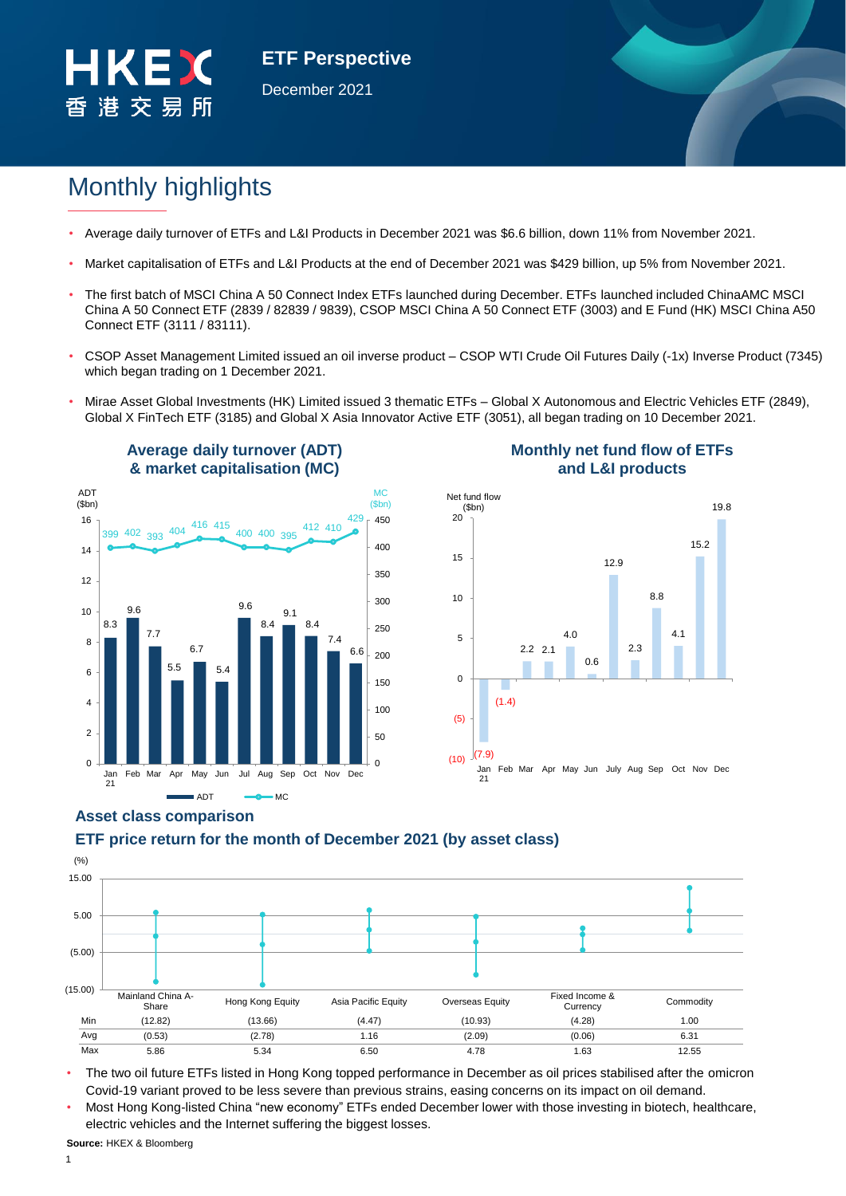

**ETF Perspective** December 2021

# Monthly highlights

- Average daily turnover of ETFs and L&I Products in December 2021 was \$6.6 billion, down 11% from November 2021.
- Market capitalisation of ETFs and L&I Products at the end of December 2021 was \$429 billion, up 5% from November 2021.
- The first batch of MSCI China A 50 Connect Index ETFs launched during December. ETFs launched included ChinaAMC MSCI China A 50 Connect ETF (2839 / 82839 / 9839), CSOP MSCI China A 50 Connect ETF (3003) and E Fund (HK) MSCI China A50 Connect ETF (3111 / 83111).
- CSOP Asset Management Limited issued an oil inverse product CSOP WTI Crude Oil Futures Daily (-1x) Inverse Product (7345) which began trading on 1 December 2021.
- Mirae Asset Global Investments (HK) Limited issued 3 thematic ETFs Global X Autonomous and Electric Vehicles ETF (2849), Global X FinTech ETF (3185) and Global X Asia Innovator Active ETF (3051), all began trading on 10 December 2021.



# **Monthly net fund flow of ETFs and L&I products**



# **Asset class comparison**

# (%) (15.00) (5.00) 5.00 15.00 Mainland China A Fixed Income & Hong Kong Equity Asia Pacific Equity Overseas Equity Fixed Income & Commodity Min (12.82) (13.66) (4.47) (10.93) (4.28) 1.00 Avg (0.53) (2.78) 1.16 (2.09) (0.06) 6.31 Max 5.86 5.34 6.50 4.78 1.63 12.55

**ETF price return for the month of December 2021 (by asset class)**

• The two oil future ETFs listed in Hong Kong topped performance in December as oil prices stabilised after the omicron Covid-19 variant proved to be less severe than previous strains, easing concerns on its impact on oil demand.

• Most Hong Kong-listed China "new economy" ETFs ended December lower with those investing in biotech, healthcare, electric vehicles and the Internet suffering the biggest losses.

**Source:** HKEX & Bloomberg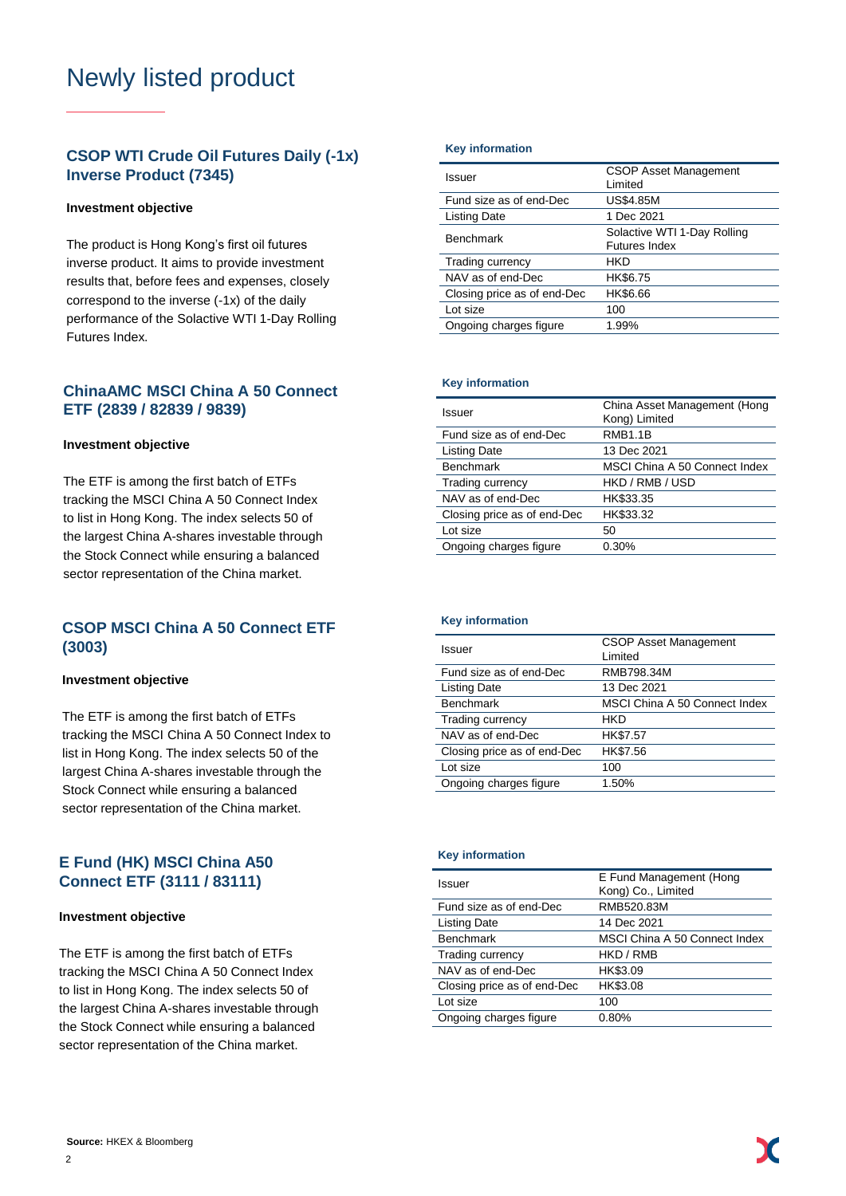# Newly listed product

# **CSOP WTI Crude Oil Futures Daily (-1x) Inverse Product (7345)**

## **Investment objective**

The product is Hong Kong's first oil futures inverse product. It aims to provide investment results that, before fees and expenses, closely correspond to the inverse (-1x) of the daily performance of the Solactive WTI 1-Day Rolling Futures Index.

# **ChinaAMC MSCI China A 50 Connect ETF (2839 / 82839 / 9839)**

## **Investment objective**

The ETF is among the first batch of ETFs tracking the MSCI China A 50 Connect Index to list in Hong Kong. The index selects 50 of the largest China A-shares investable through the Stock Connect while ensuring a balanced sector representation of the China market.

# **CSOP MSCI China A 50 Connect ETF (3003)**

## **Investment objective**

The ETF is among the first batch of ETFs tracking the MSCI China A 50 Connect Index to list in Hong Kong. The index selects 50 of the largest China A-shares investable through the Stock Connect while ensuring a balanced sector representation of the China market.

# **E Fund (HK) MSCI China A50 Connect ETF (3111 / 83111)**

### **Investment objective**

The ETF is among the first batch of ETFs tracking the MSCI China A 50 Connect Index to list in Hong Kong. The index selects 50 of the largest China A-shares investable through the Stock Connect while ensuring a balanced sector representation of the China market.

### **Key information**

| Issuer                      | <b>CSOP Asset Management</b><br>Limited      |  |
|-----------------------------|----------------------------------------------|--|
| Fund size as of end-Dec     | <b>US\$4.85M</b>                             |  |
| Listing Date                | 1 Dec 2021                                   |  |
| <b>Benchmark</b>            | Solactive WTI 1-Day Rolling<br>Futures Index |  |
| Trading currency            | HKD                                          |  |
| NAV as of end-Dec           | HK\$6.75                                     |  |
| Closing price as of end-Dec | HK\$6.66                                     |  |
| Lot size                    | 100                                          |  |
| Ongoing charges figure      | 1.99%                                        |  |

### **Key information**

| China Asset Management (Hong<br>Kong) Limited |
|-----------------------------------------------|
| <b>RMB1.1B</b>                                |
| 13 Dec 2021                                   |
| MSCI China A 50 Connect Index                 |
| HKD / RMB / USD                               |
| HK\$33.35                                     |
| HK\$33.32                                     |
| 50                                            |
| 0.30%                                         |
|                                               |

## **Key information**

| Issuer                      | <b>CSOP Asset Management</b><br>Limited |
|-----------------------------|-----------------------------------------|
| Fund size as of end-Dec     | RMB798.34M                              |
| <b>Listing Date</b>         | 13 Dec 2021                             |
| <b>Benchmark</b>            | MSCI China A 50 Connect Index           |
| Trading currency            | HKD                                     |
| NAV as of end-Dec           | HK\$7.57                                |
| Closing price as of end-Dec | HK\$7.56                                |
| Lot size                    | 100                                     |
| Ongoing charges figure      | 1.50%                                   |

### **Key information**

| Issuer                      | E Fund Management (Hong<br>Kong) Co., Limited |
|-----------------------------|-----------------------------------------------|
| Fund size as of end-Dec     | RMB520.83M                                    |
| Listing Date                | 14 Dec 2021                                   |
| <b>Benchmark</b>            | MSCI China A 50 Connect Index                 |
| <b>Trading currency</b>     | HKD / RMB                                     |
| NAV as of end-Dec           | HK\$3.09                                      |
| Closing price as of end-Dec | HK\$3.08                                      |
| Lot size                    | 100                                           |
| Ongoing charges figure      | 0.80%                                         |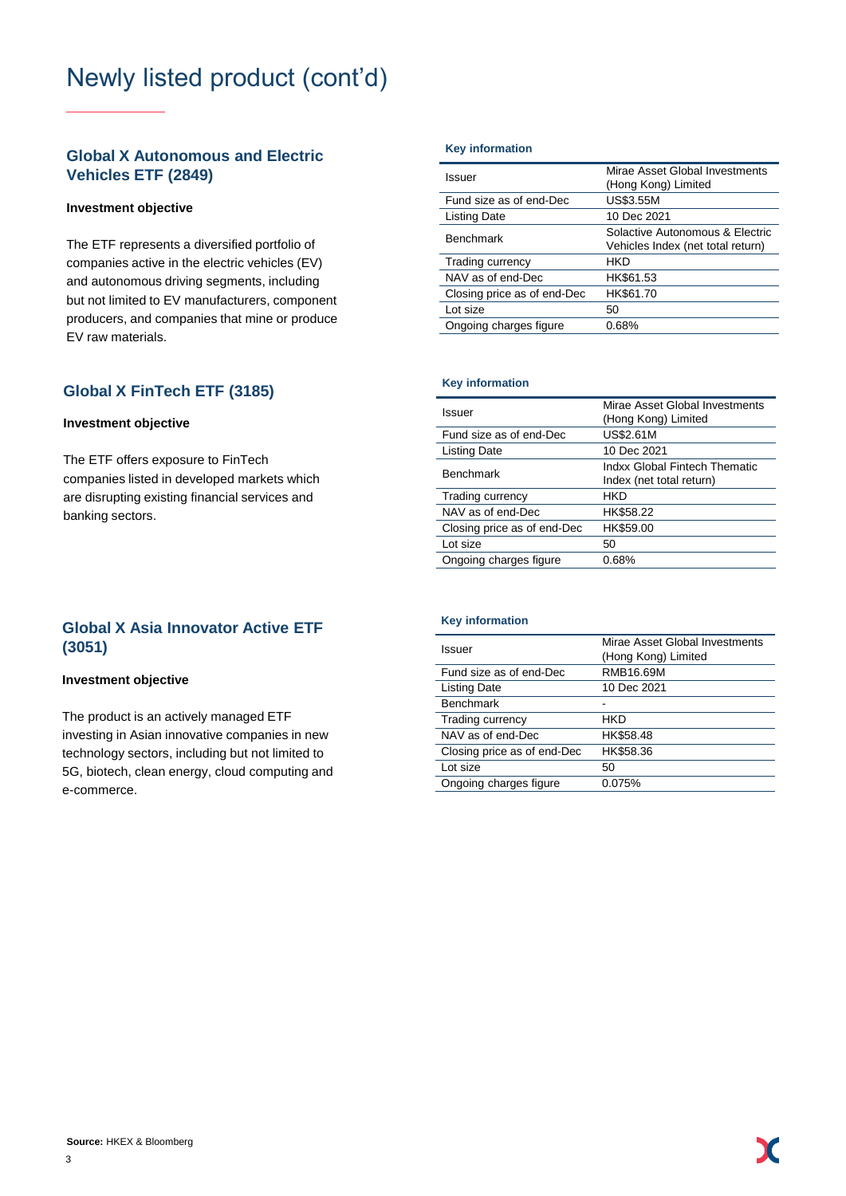# Newly listed product (cont'd)

# **Global X Autonomous and Electric Vehicles ETF (2849)**

## **Investment objective**

The ETF represents a diversified portfolio of companies active in the electric vehicles (EV) and autonomous driving segments, including but not limited to EV manufacturers, component producers, and companies that mine or produce EV raw materials.

# **Global X FinTech ETF (3185)** Key information

# **Investment objective**

The ETF offers exposure to FinTech companies listed in developed markets which are disrupting existing financial services and banking sectors.

# **Global X Asia Innovator Active ETF (3051)**

# **Investment objective**

The product is an actively managed ETF investing in Asian innovative companies in new technology sectors, including but not limited to 5G, biotech, clean energy, cloud computing and e-commerce.

### **Key information**

| Issuer                      | Mirae Asset Global Investments<br>(Hong Kong) Limited                |
|-----------------------------|----------------------------------------------------------------------|
| Fund size as of end-Dec     | <b>US\$3.55M</b>                                                     |
| Listing Date                | 10 Dec 2021                                                          |
| <b>Benchmark</b>            | Solactive Autonomous & Electric<br>Vehicles Index (net total return) |
| Trading currency            | HKD                                                                  |
| NAV as of end-Dec           | HK\$61.53                                                            |
| Closing price as of end-Dec | HK\$61.70                                                            |
| Lot size                    | 50                                                                   |
| Ongoing charges figure      | 0.68%                                                                |

| Issuer                      | Mirae Asset Global Investments<br>(Hong Kong) Limited     |  |  |
|-----------------------------|-----------------------------------------------------------|--|--|
| Fund size as of end-Dec     | <b>US\$2.61M</b>                                          |  |  |
| <b>Listing Date</b>         | 10 Dec 2021                                               |  |  |
| <b>Benchmark</b>            | Indxx Global Fintech Thematic<br>Index (net total return) |  |  |
| Trading currency            | HKD                                                       |  |  |
| NAV as of end-Dec           | HK\$58.22                                                 |  |  |
| Closing price as of end-Dec | HK\$59.00                                                 |  |  |
| Lot size                    | 50                                                        |  |  |
| Ongoing charges figure      | 0.68%                                                     |  |  |

### **Key information**

| Issuer                      | Mirae Asset Global Investments<br>(Hong Kong) Limited |
|-----------------------------|-------------------------------------------------------|
| Fund size as of end-Dec     | RMB16.69M                                             |
| <b>Listing Date</b>         | 10 Dec 2021                                           |
| <b>Benchmark</b>            |                                                       |
| <b>Trading currency</b>     | HKD                                                   |
| NAV as of end-Dec           | HK\$58.48                                             |
| Closing price as of end-Dec | HK\$58.36                                             |
| Lot size                    | 50                                                    |
| Ongoing charges figure      | 0.075%                                                |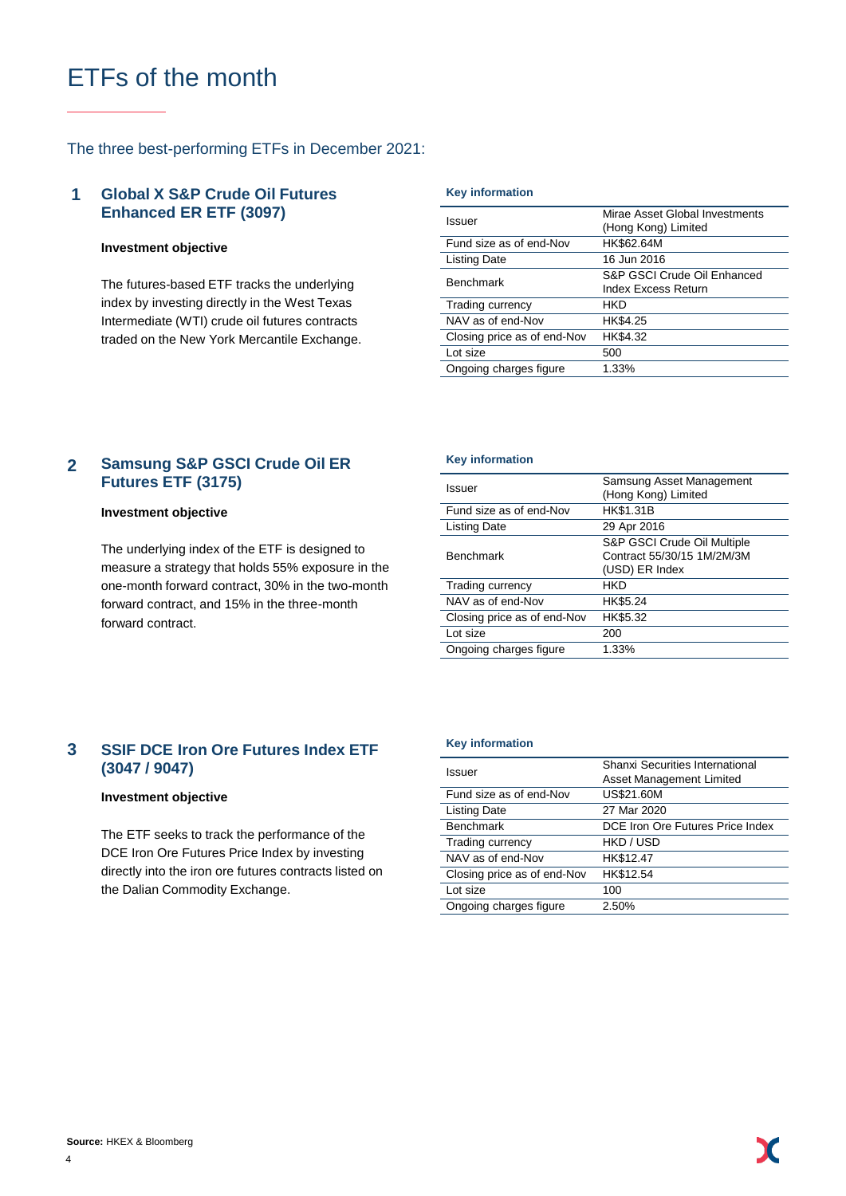# ETFs of the month

# The three best-performing ETFs in December 2021:

### **Global X S&P Crude Oil Futures Enhanced ER ETF (3097) 1**

## **Investment objective**

The futures-based ETF tracks the underlying index by investing directly in the West Texas Intermediate (WTI) crude oil futures contracts traded on the New York Mercantile Exchange.

### **Key information**

| Issuer                      | Mirae Asset Global Investments<br>(Hong Kong) Limited     |  |
|-----------------------------|-----------------------------------------------------------|--|
| Fund size as of end-Nov     | HK\$62.64M                                                |  |
| <b>Listing Date</b>         | 16 Jun 2016                                               |  |
| <b>Benchmark</b>            | S&P GSCI Crude Oil Enhanced<br><b>Index Excess Return</b> |  |
| Trading currency            | HKD                                                       |  |
| NAV as of end-Nov           | HK\$4.25                                                  |  |
| Closing price as of end-Nov | HK\$4.32                                                  |  |
| Lot size                    | 500                                                       |  |
| Ongoing charges figure      | 1.33%                                                     |  |
|                             |                                                           |  |

### **Samsung S&P GSCI Crude Oil ER Futures ETF (3175) 2**

## **Investment objective**

The underlying index of the ETF is designed to measure a strategy that holds 55% exposure in the one-month forward contract, 30% in the two-month forward contract, and 15% in the three-month forward contract.

## **Key information**

| Issuer                      | Samsung Asset Management<br>(Hong Kong) Limited                             |
|-----------------------------|-----------------------------------------------------------------------------|
| Fund size as of end-Nov     | <b>HK\$1.31B</b>                                                            |
| <b>Listing Date</b>         | 29 Apr 2016                                                                 |
| <b>Benchmark</b>            | S&P GSCI Crude Oil Multiple<br>Contract 55/30/15 1M/2M/3M<br>(USD) ER Index |
| Trading currency            | HKD                                                                         |
| NAV as of end-Nov           | HK\$5.24                                                                    |
| Closing price as of end-Nov | HK\$5.32                                                                    |
| Lot size                    | 200                                                                         |
| Ongoing charges figure      | 1.33%                                                                       |
|                             |                                                                             |

### **SSIF DCE Iron Ore Futures Index ETF (3047 / 9047) 3**

### **Investment objective**

The ETF seeks to track the performance of the DCE Iron Ore Futures Price Index by investing directly into the iron ore futures contracts listed on the Dalian Commodity Exchange.

## **Key information**

| Issuer                      | Shanxi Securities International<br>Asset Management Limited |
|-----------------------------|-------------------------------------------------------------|
|                             |                                                             |
| Fund size as of end-Nov     | US\$21.60M                                                  |
| <b>Listing Date</b>         | 27 Mar 2020                                                 |
| <b>Benchmark</b>            | DCE Iron Ore Futures Price Index                            |
| Trading currency            | HKD / USD                                                   |
| NAV as of end-Nov           | HK\$12.47                                                   |
| Closing price as of end-Nov | HK\$12.54                                                   |
| Lot size                    | 100                                                         |
| Ongoing charges figure      | 2.50%                                                       |
|                             |                                                             |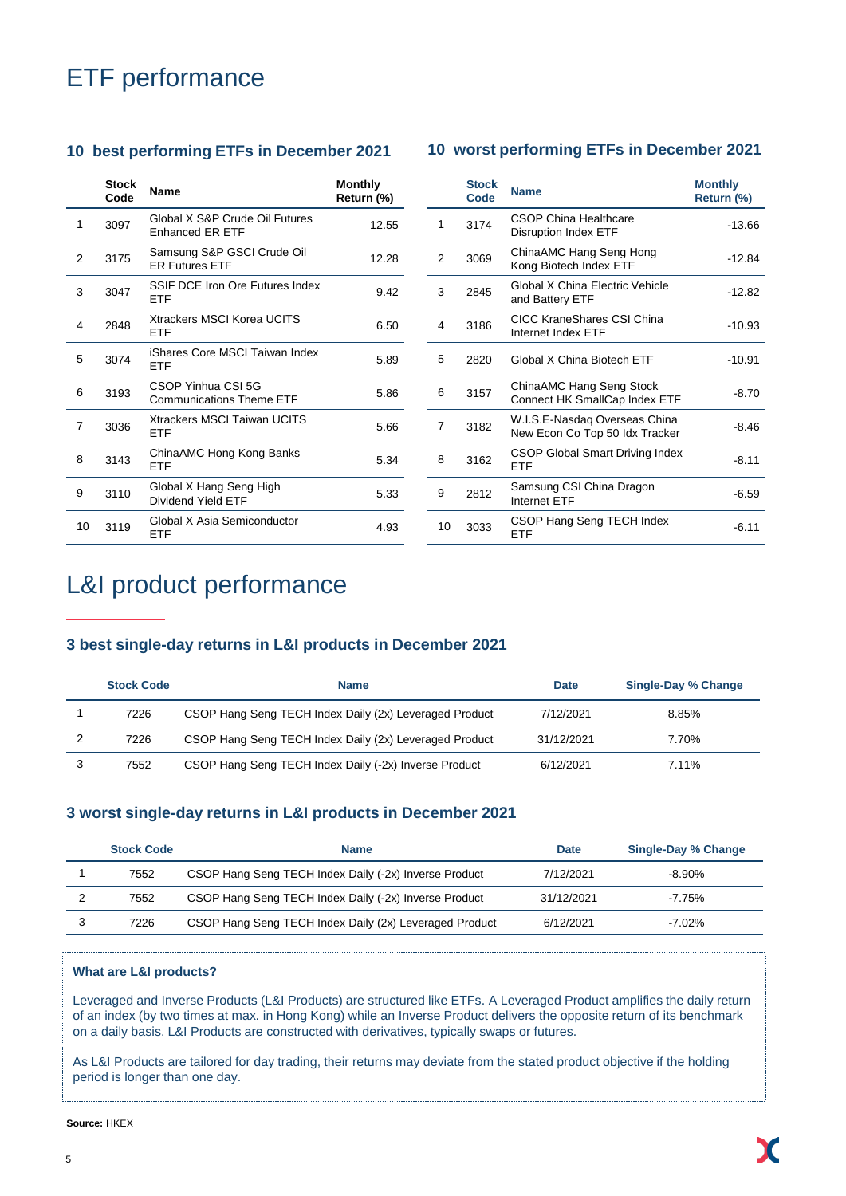# ETF performance

# **10 best performing ETFs in December 2021 10 worst performing ETFs in December 2021**

|    | <b>Stock</b><br>Code | <b>Name</b>                                              | <b>Monthly</b><br>Return (%) |
|----|----------------------|----------------------------------------------------------|------------------------------|
| 1  | 3097                 | Global X S&P Crude Oil Futures<br><b>Enhanced ER ETF</b> | 12.55                        |
| 2  | 3175                 | Samsung S&P GSCI Crude Oil<br><b>FR Futures FTF</b>      | 12.28                        |
| 3  | 3047                 | SSIF DCF Iron Ore Futures Index<br>FTF                   | 9.42                         |
| 4  | 2848                 | Xtrackers MSCI Korea UCITS<br>FTF                        | 6.50                         |
| 5  | 3074                 | iShares Core MSCI Taiwan Index<br>ETF                    | 5.89                         |
| 6  | 3193                 | CSOP Yinhua CSI 5G<br><b>Communications Theme ETF</b>    | 5.86                         |
| 7  | 3036                 | <b>Xtrackers MSCI Taiwan UCITS</b><br>ETF                | 5.66                         |
| 8  | 3143                 | ChinaAMC Hong Kong Banks<br>FTF                          | 5.34                         |
| 9  | 3110                 | Global X Hang Seng High<br>Dividend Yield ETF            | 5.33                         |
| 10 | 3119                 | Global X Asia Semiconductor<br>ETF                       | 4.93                         |

|    | <b>Stock</b><br>Code | <b>Name</b>                                                     | <b>Monthly</b><br>Return (%) |
|----|----------------------|-----------------------------------------------------------------|------------------------------|
| 1  | 3174                 | CSOP China Healthcare<br><b>Disruption Index ETF</b>            | $-13.66$                     |
| 2  | 3069                 | ChinaAMC Hang Seng Hong<br>Kong Biotech Index ETF               | $-12.84$                     |
| 3  | 2845                 | Global X China Flectric Vehicle<br>and Battery ETF              | $-12.82$                     |
| 4  | 3186                 | CICC KraneShares CSI China<br>Internet Index FTF                | $-10.93$                     |
| 5  | 2820                 | Global X China Biotech ETF                                      | $-10.91$                     |
| 6  | 3157                 | ChinaAMC Hang Seng Stock<br>Connect HK SmallCap Index ETF       | $-8.70$                      |
| 7  | 3182                 | W.I.S.E-Nasdag Overseas China<br>New Econ Co Top 50 Idx Tracker | $-8.46$                      |
| 8  | 3162                 | CSOP Global Smart Driving Index<br>ETF                          | $-8.11$                      |
| 9  | 2812                 | Samsung CSI China Dragon<br><b>Internet ETF</b>                 | $-6.59$                      |
| 10 | 3033                 | CSOP Hang Seng TECH Index<br>ETF                                | $-6.11$                      |

# L&I product performance

# **3 best single-day returns in L&I products in December 2021**

| <b>Stock Code</b> | <b>Name</b>                                            | <b>Date</b> | Single-Day % Change |
|-------------------|--------------------------------------------------------|-------------|---------------------|
| 7226              | CSOP Hang Seng TECH Index Daily (2x) Leveraged Product | 7/12/2021   | 8.85%               |
| 7226              | CSOP Hang Seng TECH Index Daily (2x) Leveraged Product | 31/12/2021  | 7.70%               |
| 7552              | CSOP Hang Seng TECH Index Daily (-2x) Inverse Product  | 6/12/2021   | 7.11%               |

# **3 worst single-day returns in L&I products in December 2021**

| <b>Stock Code</b> | <b>Name</b>                                            | <b>Date</b> | <b>Single-Day % Change</b> |
|-------------------|--------------------------------------------------------|-------------|----------------------------|
| 7552              | CSOP Hang Seng TECH Index Daily (-2x) Inverse Product  | 7/12/2021   | $-8.90\%$                  |
| 7552              | CSOP Hang Seng TECH Index Daily (-2x) Inverse Product  | 31/12/2021  | $-7.75\%$                  |
| 7226              | CSOP Hang Seng TECH Index Daily (2x) Leveraged Product | 6/12/2021   | $-7.02\%$                  |

## **What are L&I products?**

Leveraged and Inverse Products (L&I Products) are structured like ETFs. A Leveraged Product amplifies the daily return of an index (by two times at max. in Hong Kong) while an Inverse Product delivers the opposite return of its benchmark on a daily basis. L&I Products are constructed with derivatives, typically swaps or futures.

As L&I Products are tailored for day trading, their returns may deviate from the stated product objective if the holding period is longer than one day.

**Source:** HKEX